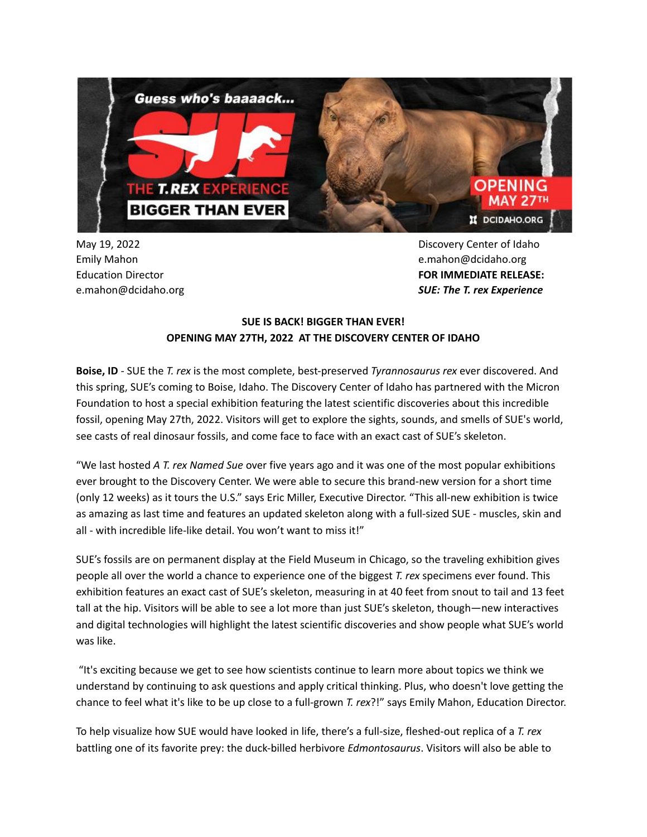

May 19, 2022 Emily Mahon Education Director e.mahon@dcidaho.org Discovery Center of Idaho e.mahon@dcidaho.org **FOR IMMEDIATE RELEASE:** *SUE: The T. rex Experience*

# **SUE IS BACK! BIGGER THAN EVER! OPENING MAY 27TH, 2022 AT THE DISCOVERY CENTER OF IDAHO**

**Boise, ID** - SUE the *T. rex* is the most complete, best-preserved *Tyrannosaurus rex* ever discovered. And this spring, SUE's coming to Boise, Idaho. The Discovery Center of Idaho has partnered with the Micron Foundation to host a special exhibition featuring the latest scientific discoveries about this incredible fossil, opening May 27th, 2022. Visitors will get to explore the sights, sounds, and smells of SUE's world, see casts of real dinosaur fossils, and come face to face with an exact cast of SUE's skeleton.

"We last hosted *A T. rex Named Sue* over five years ago and it was one of the most popular exhibitions ever brought to the Discovery Center. We were able to secure this brand-new version for a short time (only 12 weeks) as it tours the U.S." says Eric Miller, Executive Director. "This all-new exhibition is twice as amazing as last time and features an updated skeleton along with a full-sized SUE - muscles, skin and all - with incredible life-like detail. You won't want to miss it!"

SUE's fossils are on permanent display at the Field Museum in Chicago, so the traveling exhibition gives people all over the world a chance to experience one of the biggest *T. rex* specimens ever found. This exhibition features an exact cast of SUE's skeleton, measuring in at 40 feet from snout to tail and 13 feet tall at the hip. Visitors will be able to see a lot more than just SUE's skeleton, though—new interactives and digital technologies will highlight the latest scientific discoveries and show people what SUE's world was like.

"It's exciting because we get to see how scientists continue to learn more about topics we think we understand by continuing to ask questions and apply critical thinking. Plus, who doesn't love getting the chance to feel what it's like to be up close to a full-grown *T. rex*?!" says Emily Mahon, Education Director.

To help visualize how SUE would have looked in life, there's a full-size, fleshed-out replica of a *T. rex* battling one of its favorite prey: the duck-billed herbivore *Edmontosaurus*. Visitors will also be able to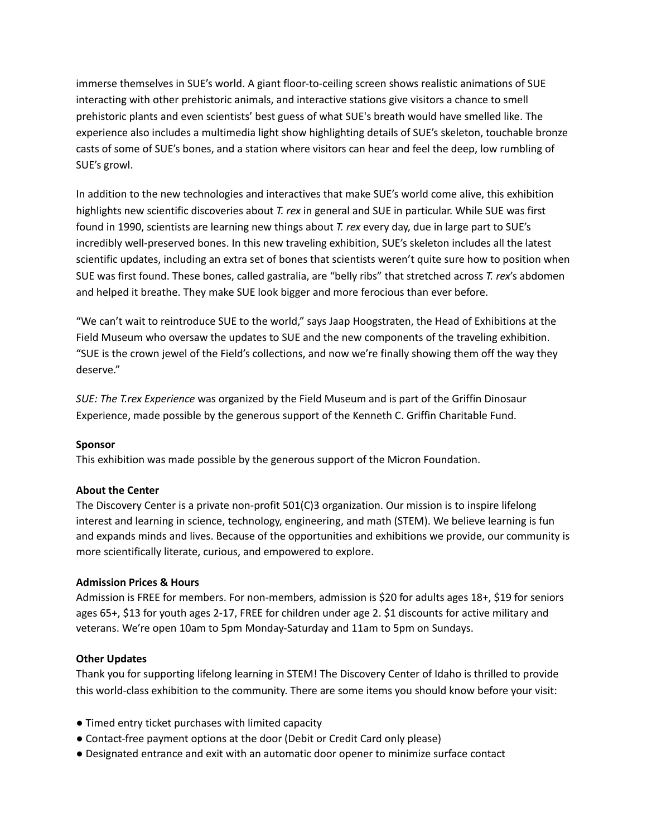immerse themselves in SUE's world. A giant floor-to-ceiling screen shows realistic animations of SUE interacting with other prehistoric animals, and interactive stations give visitors a chance to smell prehistoric plants and even scientists' best guess of what SUE's breath would have smelled like. The experience also includes a multimedia light show highlighting details of SUE's skeleton, touchable bronze casts of some of SUE's bones, and a station where visitors can hear and feel the deep, low rumbling of SUE's growl.

In addition to the new technologies and interactives that make SUE's world come alive, this exhibition highlights new scientific discoveries about *T. rex* in general and SUE in particular. While SUE was first found in 1990, scientists are learning new things about *T. rex* every day, due in large part to SUE's incredibly well-preserved bones. In this new traveling exhibition, SUE's skeleton includes all the latest scientific updates, including an extra set of bones that scientists weren't quite sure how to position when SUE was first found. These bones, called gastralia, are "belly ribs" that stretched across *T. rex*'s abdomen and helped it breathe. They make SUE look bigger and more ferocious than ever before.

"We can't wait to reintroduce SUE to the world," says Jaap Hoogstraten, the Head of Exhibitions at the Field Museum who oversaw the updates to SUE and the new components of the traveling exhibition. "SUE is the crown jewel of the Field's collections, and now we're finally showing them off the way they deserve."

*SUE: The T.rex Experience* was organized by the Field Museum and is part of the Griffin Dinosaur Experience, made possible by the generous support of the Kenneth C. Griffin Charitable Fund.

## **Sponsor**

This exhibition was made possible by the generous support of the Micron Foundation.

## **About the Center**

The Discovery Center is a private non-profit 501(C)3 organization. Our mission is to inspire lifelong interest and learning in science, technology, engineering, and math (STEM). We believe learning is fun and expands minds and lives. Because of the opportunities and exhibitions we provide, our community is more scientifically literate, curious, and empowered to explore.

### **Admission Prices & Hours**

Admission is FREE for members. For non-members, admission is \$20 for adults ages 18+, \$19 for seniors ages 65+, \$13 for youth ages 2-17, FREE for children under age 2. \$1 discounts for active military and veterans. We're open 10am to 5pm Monday-Saturday and 11am to 5pm on Sundays.

## **Other Updates**

Thank you for supporting lifelong learning in STEM! The Discovery Center of Idaho is thrilled to provide this world-class exhibition to the community. There are some items you should know before your visit:

- Timed entry ticket purchases with limited capacity
- Contact-free payment options at the door (Debit or Credit Card only please)
- Designated entrance and exit with an automatic door opener to minimize surface contact